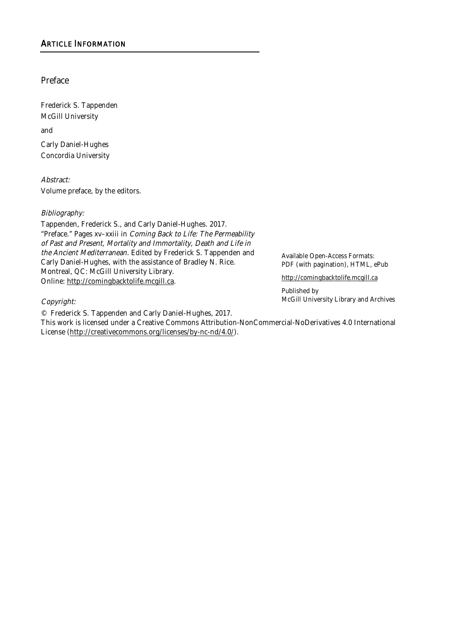Preface

Frederick S. Tappenden McGill University

and

Carly Daniel-Hughes Concordia University

Abstract:

Volume preface, by the editors.

## Bibliography:

Tappenden, Frederick S., and Carly Daniel-Hughes. 2017. "Preface." Pages xv–xxiii in Coming Back to Life: The Permeability of Past and Present, Mortality and Immortality, Death and Life in the Ancient Mediterranean. Edited by Frederick S. Tappenden and Carly Daniel-Hughes, with the assistance of Bradley N. Rice. Montreal, QC: McGill University Library. Online: http://comingbacktolife.mcgill.ca.

Available Open-Access Formats: PDF (with pagination), HTML, ePub

http://comingbacktolife.mcgill.ca

Published by McGill University Library and Archives

## Copyright:

© Frederick S. Tappenden and Carly Daniel-Hughes, 2017.

This work is licensed under a Creative Commons Attribution-NonCommercial-NoDerivatives 4.0 International License (http://creativecommons.org/licenses/by-nc-nd/4.0/).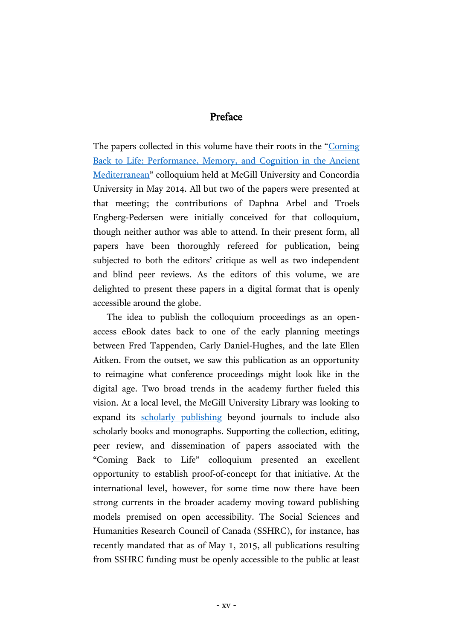# Preface

The papers collected in this volume have their roots in the "[Coming](http://coming-back-to-life.conference.mcgill.ca/)  [Back to Life: Performance, Memory, and Cognition in the Ancient](http://coming-back-to-life.conference.mcgill.ca/)  [Mediterranean](http://coming-back-to-life.conference.mcgill.ca/)" colloquium held at McGill University and Concordia University in May 2014. All but two of the papers were presented at that meeting; the contributions of Daphna Arbel and Troels Engberg-Pedersen were initially conceived for that colloquium, though neither author was able to attend. In their present form, all papers have been thoroughly refereed for publication, being subjected to both the editors' critique as well as two independent and blind peer reviews. As the editors of this volume, we are delighted to present these papers in a digital format that is openly accessible around the globe.

The idea to publish the colloquium proceedings as an openaccess eBook dates back to one of the early planning meetings between Fred Tappenden, Carly Daniel-Hughes, and the late Ellen Aitken. From the outset, we saw this publication as an opportunity to reimagine what conference proceedings might look like in the digital age. Two broad trends in the academy further fueled this vision. At a local level, the McGill University Library was looking to expand its [scholarly publishing](https://www.mcgill.ca/library/services/scholarly-publishing) beyond journals to include also scholarly books and monographs. Supporting the collection, editing, peer review, and dissemination of papers associated with the "Coming Back to Life" colloquium presented an excellent opportunity to establish proof-of-concept for that initiative. At the international level, however, for some time now there have been strong currents in the broader academy moving toward publishing models premised on open accessibility. The Social Sciences and Humanities Research Council of Canada (SSHRC), for instance, has recently mandated that as of May 1, 2015, all publications resulting from SSHRC funding must be openly accessible to the public at least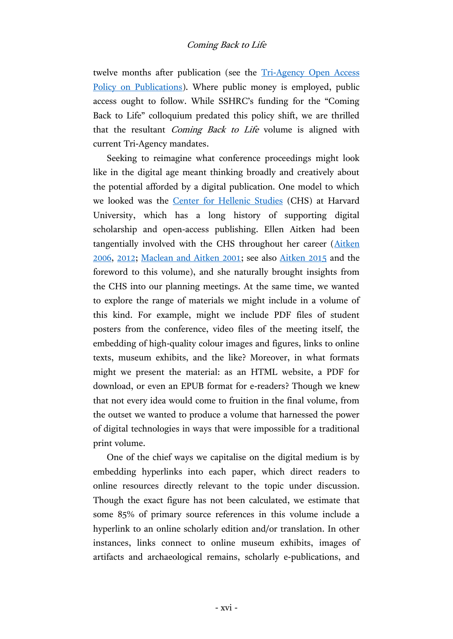# Coming Back to Life

twelve months after publication (see the [Tri-Agency Open Access](http://www.science.gc.ca/default.asp?lang=En&n=75F21A63-1)  [Policy on Publications\)](http://www.science.gc.ca/default.asp?lang=En&n=75F21A63-1). Where public money is employed, public access ought to follow. While SSHRC's funding for the "Coming Back to Life" colloquium predated this policy shift, we are thrilled that the resultant *Coming Back to Life* volume is aligned with current Tri-Agency mandates.

Seeking to reimagine what conference proceedings might look like in the digital age meant thinking broadly and creatively about the potential afforded by a digital publication. One model to which we looked was the [Center for Hellenic Studies](http://chs.harvard.edu/) (CHS) at Harvard University, which has a long history of supporting digital scholarship and open-access publishing. Ellen Aitken had been tangentially involved with the CHS throughout her career [\(Aitken](http://chs.harvard.edu/CHS/article/display/1309)  [2006,](http://chs.harvard.edu/CHS/article/display/1309) [2012;](http://chs.harvard.edu/CHS/article/display/4348) [Maclean and Aitken 2001;](http://chs.harvard.edu/CHS/article/display/3565) see also [Aitken 2015](http://chs.harvard.edu/CHS/article/display/5984) and the foreword to this volume), and she naturally brought insights from the CHS into our planning meetings. At the same time, we wanted to explore the range of materials we might include in a volume of this kind. For example, might we include PDF files of student posters from the conference, video files of the meeting itself, the embedding of high-quality colour images and figures, links to online texts, museum exhibits, and the like? Moreover, in what formats might we present the material: as an HTML website, a PDF for download, or even an EPUB format for e-readers? Though we knew that not every idea would come to fruition in the final volume, from the outset we wanted to produce a volume that harnessed the power of digital technologies in ways that were impossible for a traditional print volume.

One of the chief ways we capitalise on the digital medium is by embedding hyperlinks into each paper, which direct readers to online resources directly relevant to the topic under discussion. Though the exact figure has not been calculated, we estimate that some 85% of primary source references in this volume include a hyperlink to an online scholarly edition and/or translation. In other instances, links connect to online museum exhibits, images of artifacts and archaeological remains, scholarly e-publications, and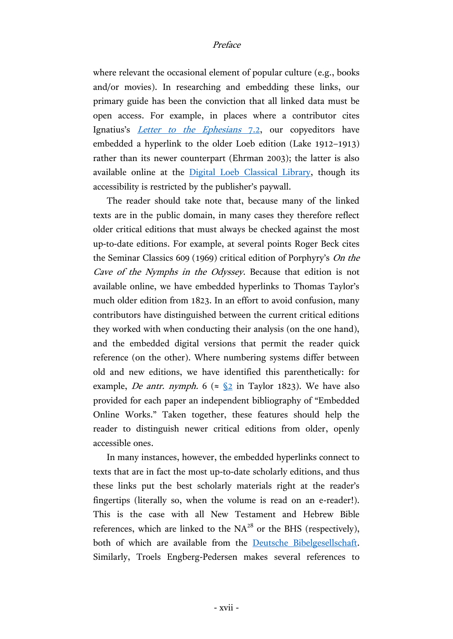where relevant the occasional element of popular culture (e.g., books and/or movies). In researching and embedding these links, our primary guide has been the conviction that all linked data must be open access. For example, in places where a contributor cites Ignatius's *[Letter to the Ephesians](http://hdl.handle.net/2027/mdp.39015042084189?urlappend=%3Bseq=194)* 7.2, our copyeditors have embedded a hyperlink to the older Loeb edition (Lake 1912–1913) rather than its newer counterpart (Ehrman 2003); the latter is also available online at the [Digital Loeb Classical Library,](http://www.loebclassics.com/) though its accessibility is restricted by the publisher's paywall.

The reader should take note that, because many of the linked texts are in the public domain, in many cases they therefore reflect older critical editions that must always be checked against the most up-to-date editions. For example, at several points Roger Beck cites the Seminar Classics 609 (1969) critical edition of Porphyry's On the Cave of the Nymphs in the Odyssey. Because that edition is not available online, we have embedded hyperlinks to Thomas Taylor's much older edition from 1823. In an effort to avoid confusion, many contributors have distinguished between the current critical editions they worked with when conducting their analysis (on the one hand), and the embedded digital versions that permit the reader quick reference (on the other). Where numbering systems differ between old and new editions, we have identified this parenthetically: for example, *De antr. nymph.* 6 ( $\approx \frac{62}{2}$  in Taylor 1823). We have also provided for each paper an independent bibliography of "Embedded Online Works." Taken together, these features should help the reader to distinguish newer critical editions from older, openly accessible ones.

In many instances, however, the embedded hyperlinks connect to texts that are in fact the most up-to-date scholarly editions, and thus these links put the best scholarly materials right at the reader's fingertips (literally so, when the volume is read on an e-reader!). This is the case with all New Testament and Hebrew Bible references, which are linked to the  $NA^{28}$  or the BHS (respectively), both of which are available from the [Deutsche Bibelgesellschaft.](http://www.academic-bible.com/en/online-bibles) Similarly, Troels Engberg-Pedersen makes several references to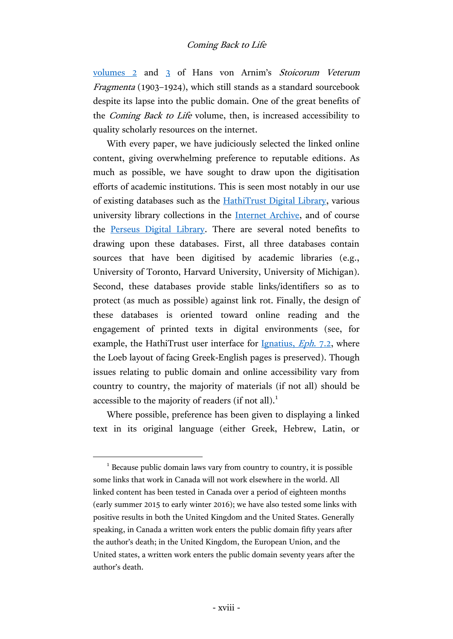[volumes 2](https://archive.org/stream/stoicorumveterum02arniuoft) and [3](https://archive.org/stream/stoicorumveterum03arniuoft) of Hans von Arnim's Stoicorum Veterum Fragmenta (1903–1924), which still stands as a standard sourcebook despite its lapse into the public domain. One of the great benefits of the Coming Back to Life volume, then, is increased accessibility to quality scholarly resources on the internet.

With every paper, we have judiciously selected the linked online content, giving overwhelming preference to reputable editions. As much as possible, we have sought to draw upon the digitisation efforts of academic institutions. This is seen most notably in our use of existing databases such as the [HathiTrust Digital Library,](https://www.hathitrust.org/) various university library collections in the [Internet Archive,](https://archive.org/) and of course the [Perseus Digital Library.](http://www.perseus.tufts.edu/) There are several noted benefits to drawing upon these databases. First, all three databases contain sources that have been digitised by academic libraries (e.g., University of Toronto, Harvard University, University of Michigan). Second, these databases provide stable links/identifiers so as to protect (as much as possible) against link rot. Finally, the design of these databases is oriented toward online reading and the engagement of printed texts in digital environments (see, for example, the HathiTrust user interface for [Ignatius,](http://hdl.handle.net/2027/mdp.39015042084189?urlappend=%3Bseq=194) *Eph.* 7.2, where the Loeb layout of facing Greek-English pages is preserved). Though issues relating to public domain and online accessibility vary from country to country, the majority of materials (if not all) should be accessible to the majority of readers (if not all).<sup>1</sup>

Where possible, preference has been given to displaying a linked text in its original language (either Greek, Hebrew, Latin, or

 $\overline{a}$ 

<sup>&</sup>lt;sup>1</sup> Because public domain laws vary from country to country, it is possible some links that work in Canada will not work elsewhere in the world. All linked content has been tested in Canada over a period of eighteen months (early summer 2015 to early winter 2016); we have also tested some links with positive results in both the United Kingdom and the United States. Generally speaking, in Canada a written work enters the public domain fifty years after the author's death; in the United Kingdom, the European Union, and the United states, a written work enters the public domain seventy years after the author's death.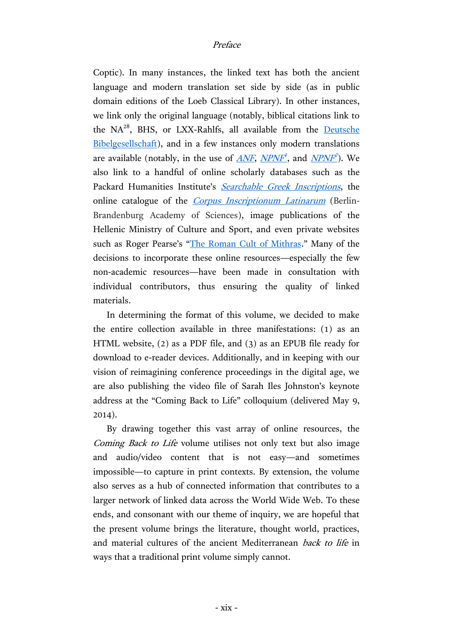Coptic). In many instances, the linked text has both the ancient language and modern translation set side by side (as in public domain editions of the Loeb Classical Library). In other instances, we link only the original language (notably, biblical citations link to the  $NA^{28}$ , BHS, or LXX-Rahlfs, all available from the Deutsche [Bibelgesellschaft\)](http://www.academic-bible.com/en/online-bibles), and in a few instances only modern translations are available (notably, in the use of <u>[ANF](http://catalog.hathitrust.org/Record/010248796), [NPNF](https://catalog.hathitrust.org/Record/001399409)<sup>1</sup></u>, and <u>NPNF<sup>2</sup></u>). We also link to a handful of online scholarly databases such as the Packard Humanities Institute's [Searchable Greek Inscriptions](http://epigraphy.packhum.org/), the online catalogue of the *[Corpus Inscriptionum Latinarum](http://cil.bbaw.de/cil_en/dateien/cil_baende.html)* (Berlin-Brandenburg Academy of Sciences), image publications of the Hellenic Ministry of Culture and Sport, and even private websites such as Roger Pearse's "[The Roman Cult of Mithras](http://www.roger-pearse.com/mithras)." Many of the decisions to incorporate these online resources—especially the few non-academic resources—have been made in consultation with individual contributors, thus ensuring the quality of linked materials.

In determining the format of this volume, we decided to make the entire collection available in three manifestations: (1) as an HTML website, (2) as a PDF file, and (3) as an EPUB file ready for download to e-reader devices. Additionally, and in keeping with our vision of reimagining conference proceedings in the digital age, we are also publishing the video file of Sarah Iles Johnston's keynote address at the "Coming Back to Life" colloquium (delivered May 9, 2014).

By drawing together this vast array of online resources, the Coming Back to Life volume utilises not only text but also image and audio/video content that is not easy—and sometimes impossible—to capture in print contexts. By extension, the volume also serves as a hub of connected information that contributes to a larger network of linked data across the World Wide Web. To these ends, and consonant with our theme of inquiry, we are hopeful that the present volume brings the literature, thought world, practices, and material cultures of the ancient Mediterranean *back to life* in ways that a traditional print volume simply cannot.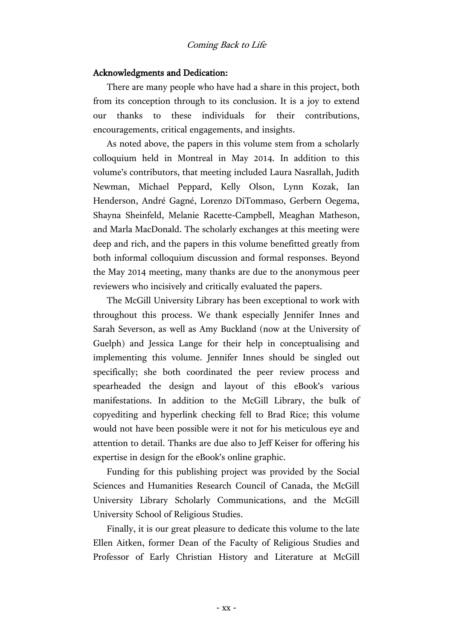## Coming Back to Life

### Acknowledgments and Dedication:

There are many people who have had a share in this project, both from its conception through to its conclusion. It is a joy to extend our thanks to these individuals for their contributions, encouragements, critical engagements, and insights.

As noted above, the papers in this volume stem from a scholarly colloquium held in Montreal in May 2014. In addition to this volume's contributors, that meeting included Laura Nasrallah, Judith Newman, Michael Peppard, Kelly Olson, Lynn Kozak, Ian Henderson, André Gagné, Lorenzo DiTommaso, Gerbern Oegema, Shayna Sheinfeld, Melanie Racette-Campbell, Meaghan Matheson, and Marla MacDonald. The scholarly exchanges at this meeting were deep and rich, and the papers in this volume benefitted greatly from both informal colloquium discussion and formal responses. Beyond the May 2014 meeting, many thanks are due to the anonymous peer reviewers who incisively and critically evaluated the papers.

The McGill University Library has been exceptional to work with throughout this process. We thank especially Jennifer Innes and Sarah Severson, as well as Amy Buckland (now at the University of Guelph) and Jessica Lange for their help in conceptualising and implementing this volume. Jennifer Innes should be singled out specifically; she both coordinated the peer review process and spearheaded the design and layout of this eBook's various manifestations. In addition to the McGill Library, the bulk of copyediting and hyperlink checking fell to Brad Rice; this volume would not have been possible were it not for his meticulous eye and attention to detail. Thanks are due also to Jeff Keiser for offering his expertise in design for the eBook's online graphic.

Funding for this publishing project was provided by the Social Sciences and Humanities Research Council of Canada, the McGill University Library Scholarly Communications, and the McGill University School of Religious Studies.

Finally, it is our great pleasure to dedicate this volume to the late Ellen Aitken, former Dean of the Faculty of Religious Studies and Professor of Early Christian History and Literature at McGill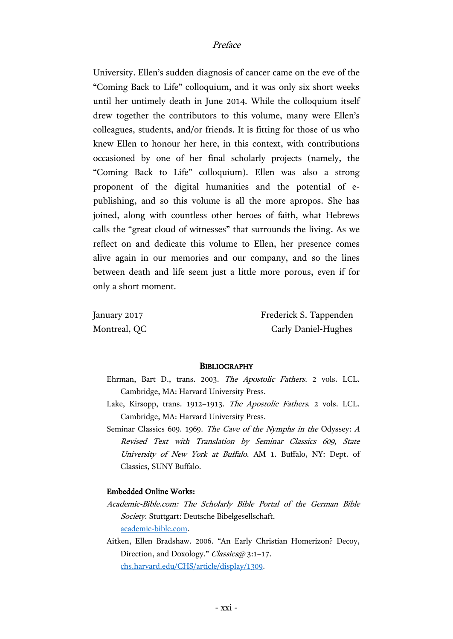#### Preface

University. Ellen's sudden diagnosis of cancer came on the eve of the "Coming Back to Life" colloquium, and it was only six short weeks until her untimely death in June 2014. While the colloquium itself drew together the contributors to this volume, many were Ellen's colleagues, students, and/or friends. It is fitting for those of us who knew Ellen to honour her here, in this context, with contributions occasioned by one of her final scholarly projects (namely, the "Coming Back to Life" colloquium). Ellen was also a strong proponent of the digital humanities and the potential of epublishing, and so this volume is all the more apropos. She has joined, along with countless other heroes of faith, what Hebrews calls the "great cloud of witnesses" that surrounds the living. As we reflect on and dedicate this volume to Ellen, her presence comes alive again in our memories and our company, and so the lines between death and life seem just a little more porous, even if for only a short moment.

January 2017 **Frederick S. Tappenden** Montreal, QC Carly Daniel-Hughes

#### **BIBLIOGRAPHY**

- Ehrman, Bart D., trans. 2003. The Apostolic Fathers. 2 vols. LCL. Cambridge, MA: Harvard University Press.
- Lake, Kirsopp, trans. 1912–1913. The Apostolic Fathers. 2 vols. LCL. Cambridge, MA: Harvard University Press.
- Seminar Classics 609. 1969. The Cave of the Nymphs in the Odyssey: A Revised Text with Translation by Seminar Classics 609, State University of New York at Buffalo. AM 1. Buffalo, NY: Dept. of Classics, SUNY Buffalo.

#### Embedded Online Works:

- Academic-Bible.com: The Scholarly Bible Portal of the German Bible Society. Stuttgart: Deutsche Bibelgesellschaft. [academic-bible.com.](http://www.academic-bible.com/en/online-bibles)
- Aitken, Ellen Bradshaw. 2006. "An Early Christian Homerizon? Decoy, Direction, and Doxology." Classics@ 3:1-17. [chs.harvard.edu/CHS/article/display/1309.](http://chs.harvard.edu/CHS/article/display/1309)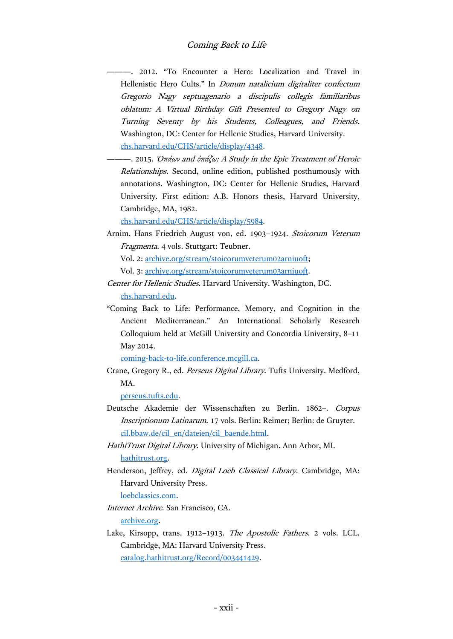———. 2012. "To Encounter a Hero: Localization and Travel in Hellenistic Hero Cults." In Donum natalicium digitaliter confectum Gregorio Nagy septuagenario a discipulis collegis familiaribus oblatum: A Virtual Birthday Gift Presented to Gregory Nagy on Turning Seventy by his Students, Colleagues, and Friends. Washington, DC: Center for Hellenic Studies, Harvard University. [chs.harvard.edu/CHS/article/display/4348.](http://chs.harvard.edu/CHS/article/display/4348)

———. 2015. Ὀπάων and ὀπάζω: A Study in the Epic Treatment of Heroic Relationships. Second, online edition, published posthumously with annotations. Washington, DC: Center for Hellenic Studies, Harvard University. First edition: A.B. Honors thesis, Harvard University, Cambridge, MA, 1982.

[chs.harvard.edu/CHS/article/display/5984.](http://chs.harvard.edu/CHS/article/display/5984)

Arnim, Hans Friedrich August von, ed. 1903–1924. Stoicorum Veterum Fragmenta. 4 vols. Stuttgart: Teubner.

Vol. 2: [archive.org/stream/stoicorumveterum02arniuoft;](https://archive.org/stream/stoicorumveterum02arniuoft)

Vol. 3: [archive.org/stream/stoicorumveterum03arniuoft.](https://archive.org/stream/stoicorumveterum03arniuoft)

- Center for Hellenic Studies. Harvard University. Washington, DC. [chs.harvard.edu.](http://chs.harvard.edu/)
- "Coming Back to Life: Performance, Memory, and Cognition in the Ancient Mediterranean." An International Scholarly Research Colloquium held at McGill University and Concordia University, 8–11 May 2014.

[coming-back-to-life.conference.mcgill.ca.](http://coming-back-to-life.conference.mcgill.ca/)

Crane, Gregory R., ed. Perseus Digital Library. Tufts University. Medford, MA.

[perseus.tufts.edu.](http://www.perseus.tufts.edu/)

- Deutsche Akademie der Wissenschaften zu Berlin. 1862–. Corpus Inscriptionum Latinarum. 17 vols. Berlin: Reimer; Berlin: de Gruyter. [cil.bbaw.de/cil\\_en/dateien/cil\\_baende.html.](http://cil.bbaw.de/cil_en/dateien/cil_baende.html)
- HathiTrust Digital Library. University of Michigan. Ann Arbor, MI. [hathitrust.org.](https://www.hathitrust.org/)
- Henderson, Jeffrey, ed. Digital Loeb Classical Library. Cambridge, MA: Harvard University Press.

[loebclassics.com.](http://www.loebclassics.com/)

Internet Archive. San Francisco, CA.

[archive.org.](https://archive.org/)

Lake, Kirsopp, trans. 1912–1913. The Apostolic Fathers. 2 vols. LCL. Cambridge, MA: Harvard University Press. [catalog.hathitrust.org/Record/003441429.](http://catalog.hathitrust.org/Record/003441429)